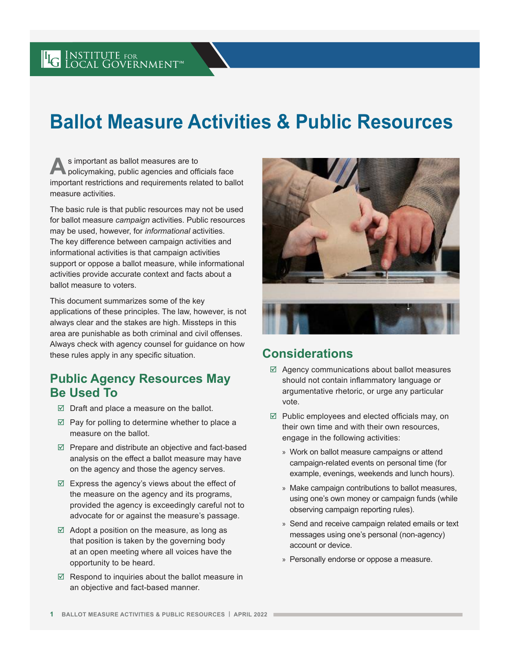# **Ballot Measure Activities & Public Resources**

s important as ballot measures are to<br>
policymaking, public agencies and officials face important restrictions and requirements related to ballot measure activities.

The basic rule is that public resources may not be used for ballot measure *campaign* activities. Public resources may be used, however, for *informational* activities. The key difference between campaign activities and informational activities is that campaign activities support or oppose a ballot measure, while informational activities provide accurate context and facts about a ballot measure to voters.

This document summarizes some of the key applications of these principles. The law, however, is not always clear and the stakes are high. Missteps in this area are punishable as both criminal and civil offenses. Always check with agency counsel for guidance on how these rules apply in any specific situation.

## **Public Agency Resources May Be Used To**

- $\boxtimes$  Draft and place a measure on the ballot.
- $\boxtimes$  Pay for polling to determine whether to place a measure on the ballot.
- $\boxtimes$  Prepare and distribute an objective and fact-based analysis on the effect a ballot measure may have on the agency and those the agency serves.
- $\boxtimes$  Express the agency's views about the effect of the measure on the agency and its programs, provided the agency is exceedingly careful not to advocate for or against the measure's passage.
- $\boxtimes$  Adopt a position on the measure, as long as that position is taken by the governing body at an open meeting where all voices have the opportunity to be heard.
- $\boxtimes$  Respond to inquiries about the ballot measure in an objective and fact-based manner.



## **Considerations**

- $\boxtimes$  Agency communications about ballot measures should not contain inflammatory language or argumentative rhetoric, or urge any particular vote.
- $\boxtimes$  Public employees and elected officials may, on their own time and with their own resources, engage in the following activities:
	- » Work on ballot measure campaigns or attend campaign-related events on personal time (for example, evenings, weekends and lunch hours).
	- » Make campaign contributions to ballot measures, using one's own money or campaign funds (while observing campaign reporting rules).
	- » Send and receive campaign related emails or text messages using one's personal (non-agency) account or device.
	- » Personally endorse or oppose a measure.